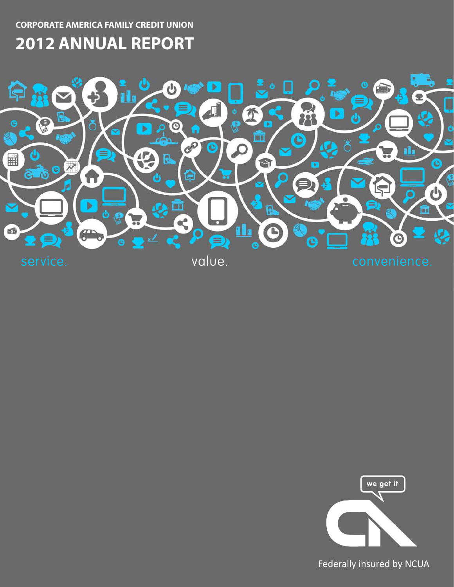**CORPORATE AMERICA FAMILY CREDIT UNION**

# **2012 ANNUAL REPORT**



we get it

Federally insured by NCUA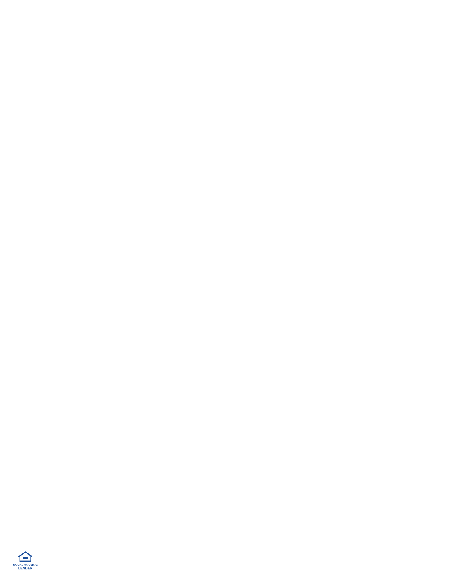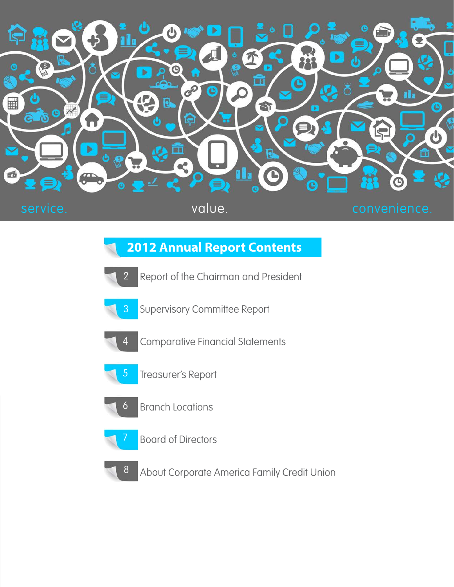

## **2012 Annual Report Contents**

- Report of the Chairman and President 2
- 3
- Supervisory Committee Report
- 4
- Comparative Financial Statements
- 5
	- Treasurer's Report
- 6
	- Branch Locations



Board of Directors



About Corporate America Family Credit Union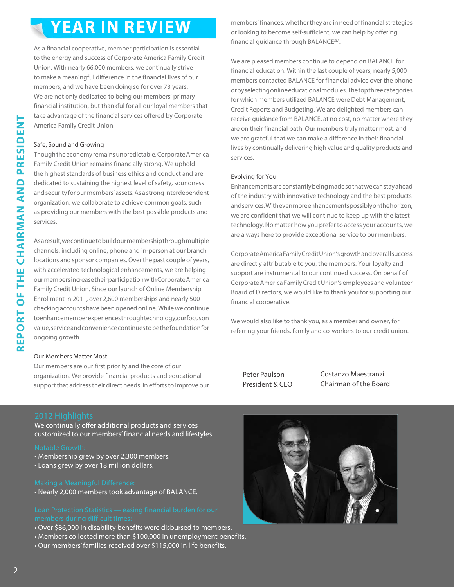# **YEAR IN REVIEW**

As a financial cooperative, member participation is essential to the energy and success of Corporate America Family Credit Union. With nearly 66,000 members, we continually strive to make a meaningful difference in the financial lives of our members, and we have been doing so for over 73 years. We are not only dedicated to being our members' primary financial institution, but thankful for all our loyal members that take advantage of the financial services offered by Corporate America Family Credit Union.

### Safe, Sound and Growing

Though the economy remains unpredictable, Corporate America Family Credit Union remains financially strong. We uphold the highest standards of business ethics and conduct and are dedicated to sustaining the highest level of safety, soundness and security for our members' assets. As a strong interdependent organization, we collaborate to achieve common goals, such as providing our members with the best possible products and services.

As a result, we continue to build our membership through multiple channels, including online, phone and in-person at our branch locations and sponsor companies. Over the past couple of years, with accelerated technological enhancements, we are helping our members increase their participation with Corporate America Family Credit Union. Since our launch of Online Membership Enrollment in 2011, over 2,600 memberships and nearly 500 checking accounts have been opened online. While we continue to enhance member experiences through technology, our focus on value, service and convenience continues to be the foundation for ongoing growth.

### Our Members Matter Most

Our members are our first priority and the core of our organization. We provide financial products and educational support that address their direct needs. In efforts to improve our members' finances, whether they are in need of financial strategies or looking to become self-sufficient, we can help by offering financial guidance through BALANCESM.

We are pleased members continue to depend on BALANCE for financial education. Within the last couple of years, nearly 5,000 members contacted BALANCE for financial advice over the phone or by selecting online educational modules. The top three categories for which members utilized BALANCE were Debt Management, Credit Reports and Budgeting. We are delighted members can receive guidance from BALANCE, at no cost, no matter where they are on their financial path. Our members truly matter most, and we are grateful that we can make a difference in their financial lives by continually delivering high value and quality products and services.

### Evolving for You

Enhancements are constantly being made so that we can stay ahead of the industry with innovative technology and the best products and services. With even more enhancements possibly on the horizon, we are confident that we will continue to keep up with the latest technology. No matter how you prefer to access your accounts, we are always here to provide exceptional service to our members.

Corporate America Family Credit Union's growth and overall success are directly attributable to you, the members. Your loyalty and support are instrumental to our continued success. On behalf of Corporate America Family Credit Union's employees and volunteer Board of Directors, we would like to thank you for supporting our financial cooperative.

We would also like to thank you, as a member and owner, for referring your friends, family and co-workers to our credit union.

Peter Paulson President & CEO Costanzo Maestranzi Chairman of the Board

We continually offer additional products and services customized to our members' financial needs and lifestyles.

- Membership grew by over 2,300 members.
- Loans grew by over 18 million dollars.

• Nearly 2,000 members took advantage of BALANCE.

- Over \$86,000 in disability benefits were disbursed to members.
- Members collected more than \$100,000 in unemployment benefits.
- Our members' families received over \$115,000 in life benefits.

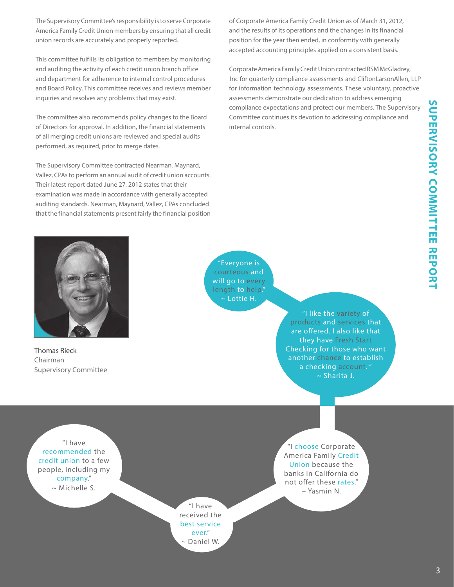**SUPERVISORY COMMITTEE REPORT SUPERVISORY COMMITTEE REPORT**

The Supervisory Committee's responsibility is to serve Corporate America Family Credit Union members by ensuring that all credit union records are accurately and properly reported.

This committee fulfills its obligation to members by monitoring and auditing the activity of each credit union branch office and department for adherence to internal control procedures and Board Policy. This committee receives and reviews member inquiries and resolves any problems that may exist.

The committee also recommends policy changes to the Board of Directors for approval. In addition, the financial statements of all merging credit unions are reviewed and special audits performed, as required, prior to merge dates.

The Supervisory Committee contracted Nearman, Maynard, Vallez, CPAs to perform an annual audit of credit union accounts. Their latest report dated June 27, 2012 states that their examination was made in accordance with generally accepted auditing standards. Nearman, Maynard, Vallez, CPAs concluded that the financial statements present fairly the financial position of Corporate America Family Credit Union as of March 31, 2012, and the results of its operations and the changes in its financial position for the year then ended, in conformity with generally accepted accounting principles applied on a consistent basis.

Corporate America Family Credit Union contracted RSM McGladrey, Inc for quarterly compliance assessments and CliftonLarsonAllen, LLP for information technology assessments. These voluntary, proactive assessments demonstrate our dedication to address emerging compliance expectations and protect our members. The Supervisory Committee continues its devotion to addressing compliance and internal controls.



Thomas Rieck Chairman Supervisory Committee

"Everyone is courteous and will go to every ~ Lottie H.

> "I like the variety of products and services that are offered. I also like that they have Fresh Start Checking for those who want another chance to establish a checking account. " ~ Sharita J.

"I have recommended the credit union to a few people, including my company." ~ Michelle S.

> "I have received the best service ever." ~ Daniel W.

"I choose Corporate America Family Credit Union because the banks in California do not offer these rates."  $\sim$  Yasmin N.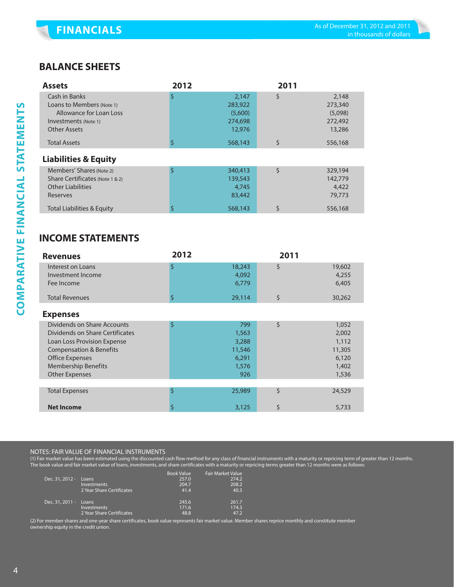## **BALANCE SHEETS**

| <b>Assets</b>                         | 2012 |         | 2011 |         |
|---------------------------------------|------|---------|------|---------|
| Cash in Banks                         | S    | 2.147   | \$   | 2,148   |
| Loans to Members (Note 1)             |      | 283,922 |      | 273,340 |
| Allowance for Loan Loss               |      | (5,600) |      | (5,098) |
| Investments (Note 1)                  |      | 274,698 |      | 272,492 |
| <b>Other Assets</b>                   |      | 12,976  |      | 13,286  |
| <b>Total Assets</b>                   |      | 568,143 | \$   | 556,168 |
| <b>Liabilities &amp; Equity</b>       |      |         |      |         |
| Members' Shares (Note 2)              | Ś    | 340,413 | \$   | 329,194 |
| Share Certificates (Note 1 & 2)       |      | 139,543 |      | 142,779 |
| <b>Other Liabilities</b>              |      | 4,745   |      | 4,422   |
| Reserves                              |      | 83,442  |      | 79,773  |
| <b>Total Liabilities &amp; Equity</b> |      | 568,143 | \$   | 556,168 |

## **INCOME STATEMENTS**

| <b>Revenues</b>                        | 2012 |                 | 2011 |                 |
|----------------------------------------|------|-----------------|------|-----------------|
| Interest on Loans<br>Investment Income | \$   | 18,243<br>4,092 | \$   | 19,602<br>4,255 |
| Fee Income                             |      | 6,779           |      | 6,405           |
| <b>Total Revenues</b>                  | \$   | 29,114          | \$   | 30,262          |
| <b>Expenses</b>                        |      |                 |      |                 |
| Dividends on Share Accounts            | \$   | 799             | \$   | 1,052           |
| Dividends on Share Certificates        |      | 1,563           |      | 2,002           |
| Loan Loss Provision Expense            |      | 3,288           |      | 1,112           |
| <b>Compensation &amp; Benefits</b>     |      | 11,546          |      | 11,305          |
| <b>Office Expenses</b>                 |      | 6,291           |      | 6,120           |
| <b>Membership Benefits</b>             |      | 1,576           |      | 1,402           |
| <b>Other Expenses</b>                  |      | 926             |      | 1,536           |
|                                        |      |                 |      |                 |
| <b>Total Expenses</b>                  | \$   | 25,989          | \$   | 24,529          |
| <b>Net Income</b>                      | \$   | 3,125           | \$   | 5,733           |

### NOTES: FAIR VALUE OF FINANCIAL INSTRUMENTS

(1) Fair market value has been estimated using the discounted cash flow method for any class of financial instruments with a maturity or repricing term of greater than 12 months. The book value and fair market value of loans, investments, and share certificates with a maturity or repricing terms greater than 12 months were as follows:

|                       |                           | <b>Book Value</b> | Fair Market Value |
|-----------------------|---------------------------|-------------------|-------------------|
| Dec. 31, 2012 - Loans |                           | 257.0             | 274.2             |
|                       | <b>Investments</b>        | 204.7             | 208.2             |
|                       | 2 Year Share Certificates | 41.4              | 40.3              |
| Dec. 31, 2011 - Loans |                           | 245.6             | 261.7             |
|                       | <b>Investments</b>        | 171.6             | 174.3             |
|                       | 2 Year Share Certificates | 48.8              | 47.2              |

(2) For member shares and one-year share certificates, book value represents fair market value. Member shares reprice monthly and constitute member ownership equity in the credit union.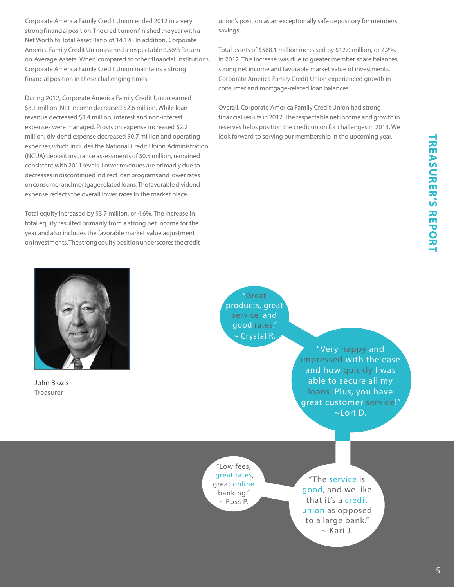Corporate America Family Credit Union ended 2012 in a very strong financial position. The credit union finished the year with a Net Worth to Total Asset Ratio of 14.1%. In addition, Corporate America Family Credit Union earned a respectable 0.56% Return on Average Assets. When compared to other financial institutions, Corporate America Family Credit Union maintains a strong financial position in these challenging times.

During 2012, Corporate America Family Credit Union earned \$3.1 million. Net income decreased \$2.6 million. While loan revenue decreased \$1.4 million, interest and non-interest expenses were managed. Provision expense increased \$2.2 million, dividend expense decreased \$0.7 million and operating expenses, which includes the National Credit Union Administration (NCUA) deposit insurance assessments of \$0.5 million, remained consistent with 2011 levels. Lower revenues are primarily due to decreases in discontinued indirect loan programs and lower rates on consumer and mortgage related loans. The favorable dividend expense reflects the overall lower rates in the market place.

Total equity increased by \$3.7 million, or 4.6%. The increase in total equity resulted primarily from a strong net income for the year and also includes the favorable market value adjustment on investments. The strong equity position underscores the credit union's position as an exceptionally safe depository for members' savings.

Total assets of \$568.1 million increased by \$12.0 million, or 2.2%, in 2012. This increase was due to greater member share balances, strong net income and favorable market value of investments. Corporate America Family Credit Union experienced growth in consumer and mortgage-related loan balances.

Overall, Corporate America Family Credit Union had strong financial results in 2012. The respectable net income and growth in reserves helps position the credit union for challenges in 2013. We look forward to serving our membership in the upcoming year.



John Blozis Treasurer

"Great products, great service, and good rates." ~ Crystal R.

> "Very happy and impressed with the ease and how quickly I was able to secure all my loans. Plus, you have great customer service!" ~Lori D.

"Low fees, great rates, great online banking."  $\sim$  Ross P.

"The service is good, and we like that it's a credit union as opposed to a large bank." ~ Kari J.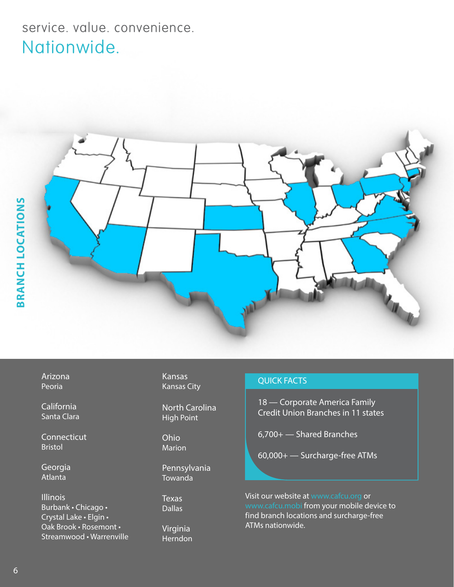# service. value. convenience. Nationwide.



Arizona Peoria

California Santa Clara

**Connecticut** Bristol

Georgia Atlanta

Illinois Burbank • Chicago • Crystal Lake • Elgin • Oak Brook • Rosemont • Streamwood • Warrenville Kansas Kansas City

North Carolina High Point

Ohio Marion

Pennsylvania Towanda

**Texas Dallas** 

Virginia Herndon

### QUICK FACTS

18 — Corporate America Family Credit Union Branches in 11 states

6,700+ — Shared Branches

60,000+ — Surcharge-free ATMs

Visit our website at www.cafcu.org or www.cafcu.mobi from your mobile device to find branch locations and surcharge-free ATMs nationwide.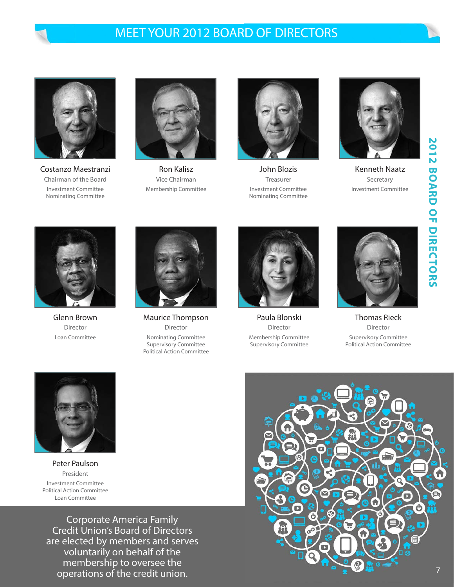## MEET YOUR 2012 BOARD OF DIRECTORS



Costanzo Maestranzi Chairman of the Board Investment Committee Nominating Committee



Ron Kalisz Vice Chairman Membership Committee



John Blozis Treasurer Investment Committee Nominating Committee



Kenneth Naatz Secretary Investment Committee



Glenn Brown Director Loan Committee



Maurice Thompson Director Nominating Committee Supervisory Committee Political Action Committee



Paula Blonski Director Membership Committee Supervisory Committee



Thomas Rieck Director Supervisory Committee Political Action Committee



Peter Paulson President Investment Committee Political Action Committee Loan Committee

Corporate America Family Credit Union's Board of Directors are elected by members and serves voluntarily on behalf of the membership to oversee the operations of the credit union.

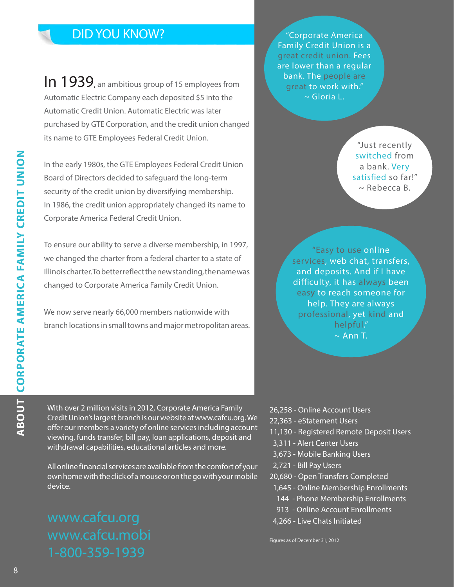## DID YOU KNOW?

In 1939, an ambitious group of 15 employees from Automatic Electric Company each deposited \$5 into the Automatic Credit Union. Automatic Electric was later purchased by GTE Corporation, and the credit union changed its name to GTE Employees Federal Credit Union.

In the early 1980s, the GTE Employees Federal Credit Union Board of Directors decided to safeguard the long-term security of the credit union by diversifying membership. In 1986, the credit union appropriately changed its name to Corporate America Federal Credit Union.

To ensure our ability to serve a diverse membership, in 1997, we changed the charter from a federal charter to a state of Illinois charter. To better reflect the new standing, the name was changed to Corporate America Family Credit Union.

We now serve nearly 66,000 members nationwide with branch locations in small towns and major metropolitan areas.

"Corporate America Family Credit Union is a great credit union. Fees are lower than a regular bank. The people are great to work with."  $\sim$  Gloria L.

> "Just recently switched from a bank. Very satisfied so far!"  $\sim$  Rebecca B.

"Easy to use online services, web chat, transfers, and deposits. And if I have difficulty, it has always been easy to reach someone for help. They are always professional, yet kind and  $\sim$  Ann T.

With over 2 million visits in 2012, Corporate America Family Credit Union's largest branch is our website at www.cafcu.org. We offer our members a variety of online services including account viewing, funds transfer, bill pay, loan applications, deposit and withdrawal capabilities, educational articles and more.

All online financial services are available from the comfort of your own home with the click of a mouse or on the go with your mobile device.

- 26,258 Online Account Users
- 22,363 eStatement Users
- 11,130 Registered Remote Deposit Users
- 3,311 Alert Center Users
- 3,673 Mobile Banking Users
- 2,721 Bill Pay Users
- 20,680 Open Transfers Completed
- 1,645 Online Membership Enrollments
- 144 Phone Membership Enrollments
- 913 Online Account Enrollments
- 4,266 Live Chats Initiated

Figures as of December 31, 2012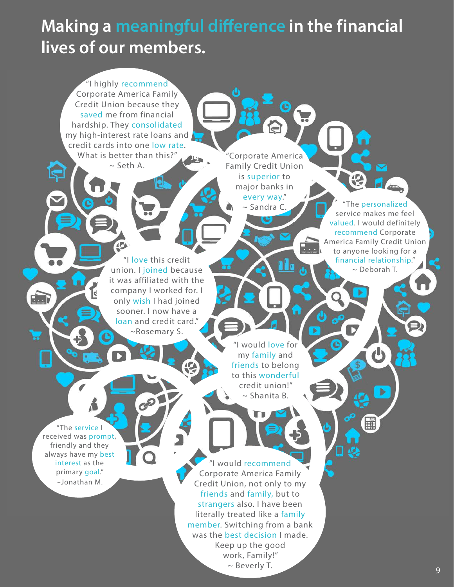# **Making a meaningful difference in the financial lives of our members.**

"I highly recommend Corporate America Family Credit Union because they saved me from financial hardship. They consolidated my high-interest rate loans and credit cards into one low rate. What is better than this?"  $\sim$  Seth A.

"Corporate America Family Credit Union is superior to major banks in every way."

 $\sim$  Sandra C

"I love this credit union. I joined because it was affiliated with the company I worked for. I only wish I had joined sooner. I now have a loan and credit card." ~Rosemary S.

The personalized service makes me feel valued. I would definitely recommend Corporate a<br>Kabupatén

×

America Family Credit Union to anyone looking for a financial relationship." ~ Deborah T.

"I would love for my family and friends to belong to this wonderful credit union!" ~ Shanita B.

"The service I received was prompt, friendly and they always have my best interest as the primary goal." ~Jonathan M.

جاً

 $\sum_{i=1}^{n}$ 

"I would recommend Corporate America Family Credit Union, not only to my friends and family, but to strangers also. I have been literally treated like a family member. Switching from a bank was the best decision I made. Keep up the good work, Family!"  $\sim$  Beverly T.